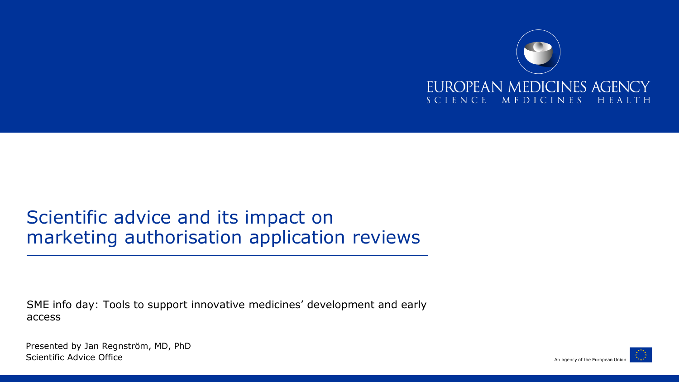

### Scientific advice and its impact on marketing authorisation application reviews

SME info day: Tools to support innovative medicines' development and early access

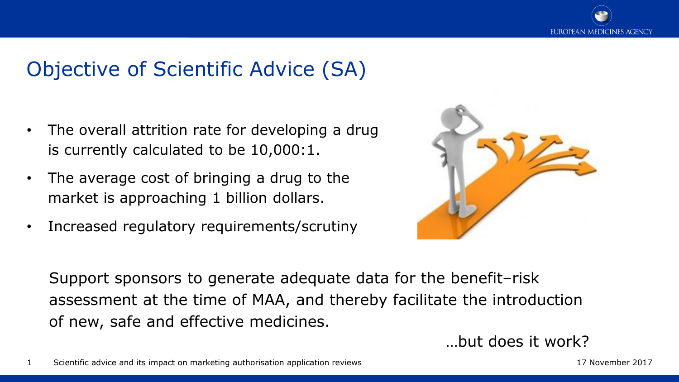

# Objective of Scientific Advice (SA)

- The overall attrition rate for developing a drug is currently calculated to be 10,000:1.
- The average cost of bringing a drug to the market is approaching 1 billion dollars.
- Increased regulatory requirements/scrutiny



Support sponsors to generate adequate data for the benefit–risk assessment at the time of MAA, and thereby facilitate the introduction of new, safe and effective medicines.

…but does it work?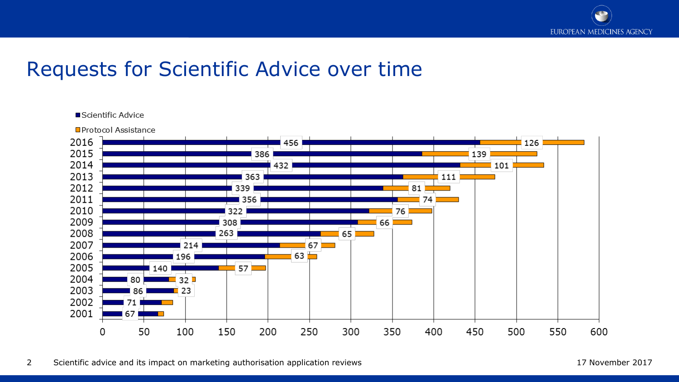

# Requests for Scientific Advice over time

#### Scientific Advice

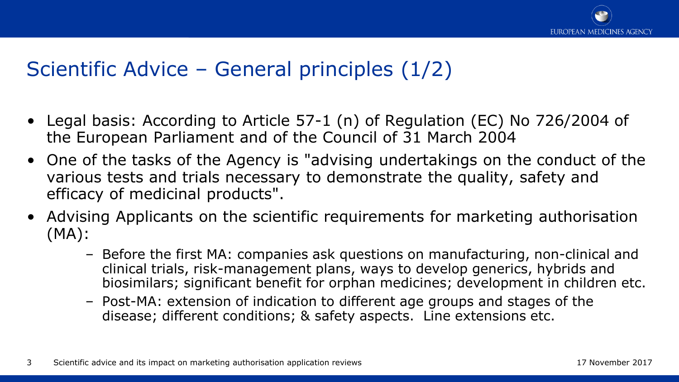

# Scientific Advice – General principles (1/2)

- Legal basis: According to Article 57-1 (n) of Regulation (EC) No 726/2004 of the European Parliament and of the Council of 31 March 2004
- One of the tasks of the Agency is "advising undertakings on the conduct of the various tests and trials necessary to demonstrate the quality, safety and efficacy of medicinal products".
- Advising Applicants on the scientific requirements for marketing authorisation (MA):
	- Before the first MA: companies ask questions on manufacturing, non-clinical and clinical trials, risk-management plans, ways to develop generics, hybrids and biosimilars; significant benefit for orphan medicines; development in children etc.
	- Post-MA: extension of indication to different age groups and stages of the disease; different conditions; & safety aspects. Line extensions etc.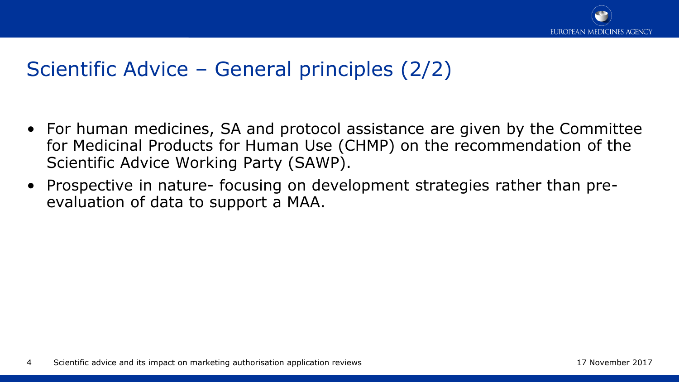

# Scientific Advice – General principles (2/2)

- For human medicines, SA and protocol assistance are given by the Committee for Medicinal Products for Human Use (CHMP) on the recommendation of the Scientific Advice Working Party (SAWP).
- Prospective in nature- focusing on development strategies rather than preevaluation of data to support a MAA.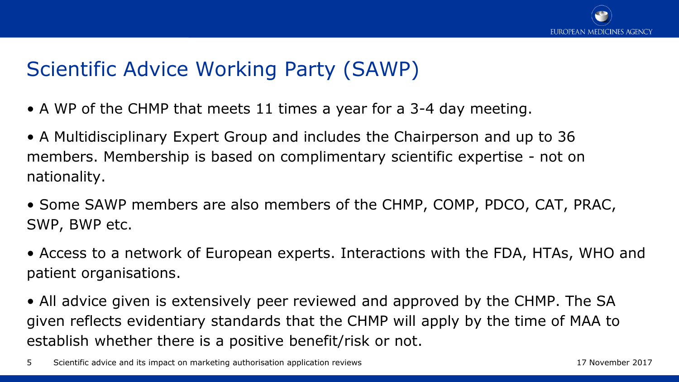

# Scientific Advice Working Party (SAWP)

- A WP of the CHMP that meets 11 times a year for a 3-4 day meeting.
- A Multidisciplinary Expert Group and includes the Chairperson and up to 36 members. Membership is based on complimentary scientific expertise - not on nationality.
- Some SAWP members are also members of the CHMP, COMP, PDCO, CAT, PRAC, SWP, BWP etc.
- Access to a network of European experts. Interactions with the FDA, HTAs, WHO and patient organisations.
- All advice given is extensively peer reviewed and approved by the CHMP. The SA given reflects evidentiary standards that the CHMP will apply by the time of MAA to establish whether there is a positive benefit/risk or not.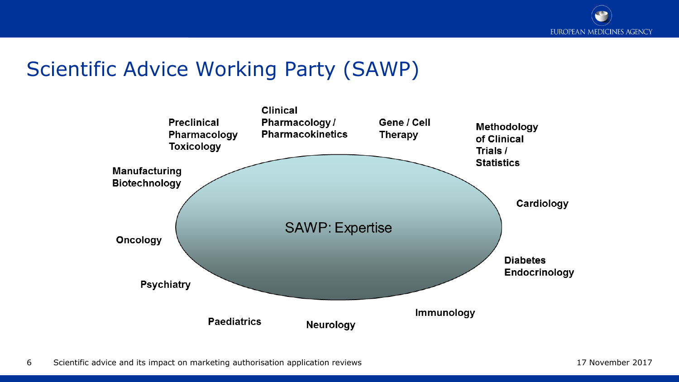

# Scientific Advice Working Party (SAWP)

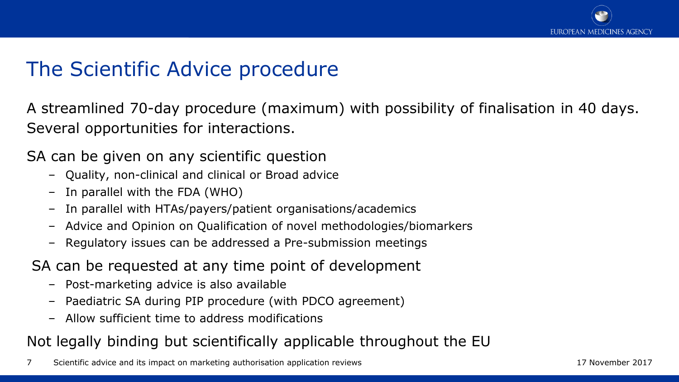

## The Scientific Advice procedure

A streamlined 70-day procedure (maximum) with possibility of finalisation in 40 days. Several opportunities for interactions.

SA can be given on any scientific question

- Quality, non-clinical and clinical or Broad advice
- In parallel with the FDA (WHO)
- In parallel with HTAs/payers/patient organisations/academics
- Advice and Opinion on Qualification of novel methodologies/biomarkers
- Regulatory issues can be addressed a Pre-submission meetings
- SA can be requested at any time point of development
	- Post-marketing advice is also available
	- Paediatric SA during PIP procedure (with PDCO agreement)
	- Allow sufficient time to address modifications

### Not legally binding but scientifically applicable throughout the EU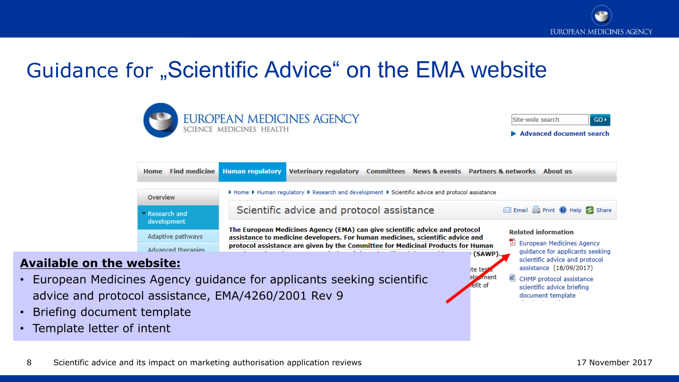

# Guidance for "Scientific Advice" on the EMA website



*a*nent

efit of

CHMP protocol assistance

scientific advice briefing document template

#### **Available on the website:**

- European Medicines Agency guidance for applicants seeking scientific advice and protocol assistance, EMA/4260/2001 Rev 9
- Briefing document template
- Template letter of intent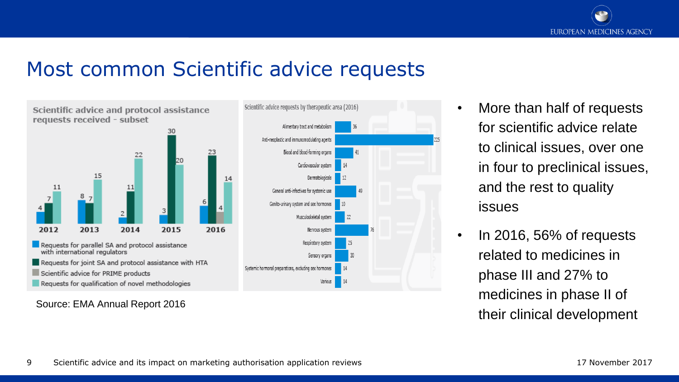

### Most common Scientific advice requests



#### Source: EMA Annual Report 2016



- More than half of requests for scientific advice relate to clinical issues, over one in four to preclinical issues, and the rest to quality issues
- In 2016, 56% of requests related to medicines in phase III and 27% to medicines in phase II of their clinical development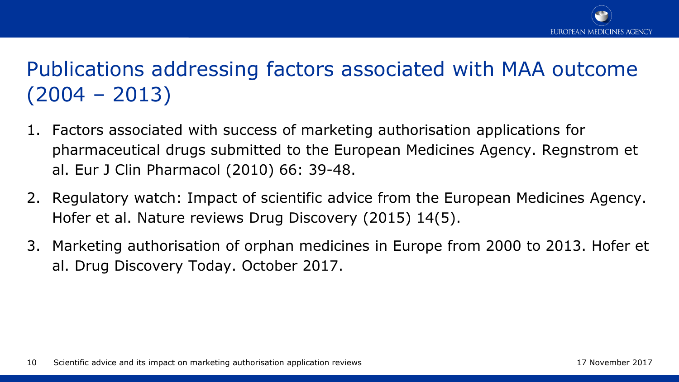

# Publications addressing factors associated with MAA outcome (2004 – 2013)

- 1. Factors associated with success of marketing authorisation applications for pharmaceutical drugs submitted to the European Medicines Agency. Regnstrom et al. Eur J Clin Pharmacol (2010) 66: 39-48.
- 2. Regulatory watch: Impact of scientific advice from the European Medicines Agency. Hofer et al. Nature reviews Drug Discovery (2015) 14(5).
- 3. Marketing authorisation of orphan medicines in Europe from 2000 to 2013. Hofer et al. Drug Discovery Today. October 2017.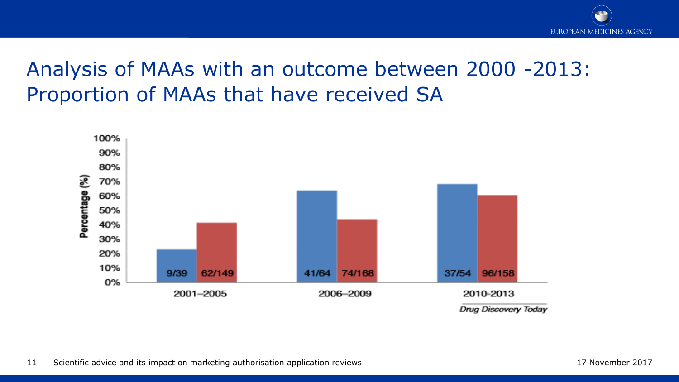

# Analysis of MAAs with an outcome between 2000 -2013: Proportion of MAAs that have received SA

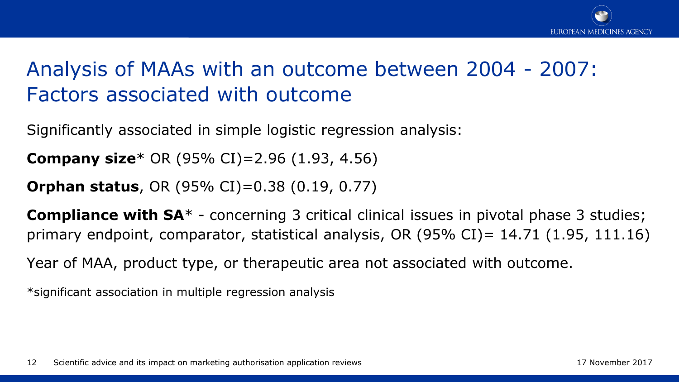

# Analysis of MAAs with an outcome between 2004 - 2007: Factors associated with outcome

Significantly associated in simple logistic regression analysis:

**Company size**\* OR (95% CI)=2.96 (1.93, 4.56)

**Orphan status**, OR (95% CI)=0.38 (0.19, 0.77)

**Compliance with SA**\* - concerning 3 critical clinical issues in pivotal phase 3 studies; primary endpoint, comparator, statistical analysis, OR (95% CI)= 14.71 (1.95, 111.16)

Year of MAA, product type, or therapeutic area not associated with outcome.

\*significant association in multiple regression analysis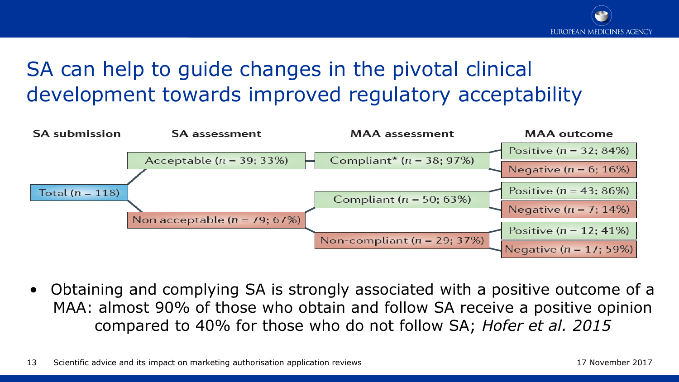# SA can help to guide changes in the pivotal clinical development towards improved regulatory acceptability



• Obtaining and complying SA is strongly associated with a positive outcome of a MAA: almost 90% of those who obtain and follow SA receive a positive opinion compared to 40% for those who do not follow SA; *Hofer et al. 2015*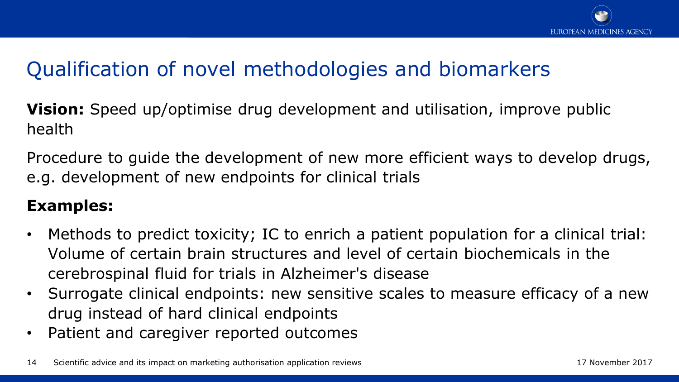

# Qualification of novel methodologies and biomarkers

**Vision:** Speed up/optimise drug development and utilisation, improve public health

Procedure to guide the development of new more efficient ways to develop drugs, e.g. development of new endpoints for clinical trials

### **Examples:**

- Methods to predict toxicity; IC to enrich a patient population for a clinical trial: Volume of certain brain structures and level of certain biochemicals in the cerebrospinal fluid for trials in Alzheimer's disease
- Surrogate clinical endpoints: new sensitive scales to measure efficacy of a new drug instead of hard clinical endpoints
- Patient and caregiver reported outcomes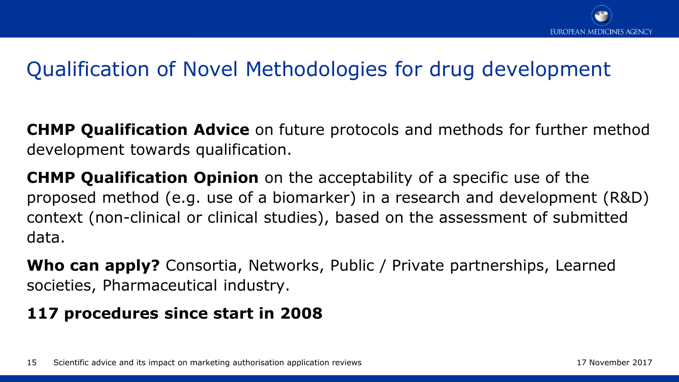

# Qualification of Novel Methodologies for drug development

**CHMP Qualification Advice** on future protocols and methods for further method development towards qualification.

**CHMP Qualification Opinion** on the acceptability of a specific use of the proposed method (e.g. use of a biomarker) in a research and development (R&D) context (non-clinical or clinical studies), based on the assessment of submitted data.

**Who can apply?** Consortia, Networks, Public / Private partnerships, Learned societies, Pharmaceutical industry.

### **117 procedures since start in 2008**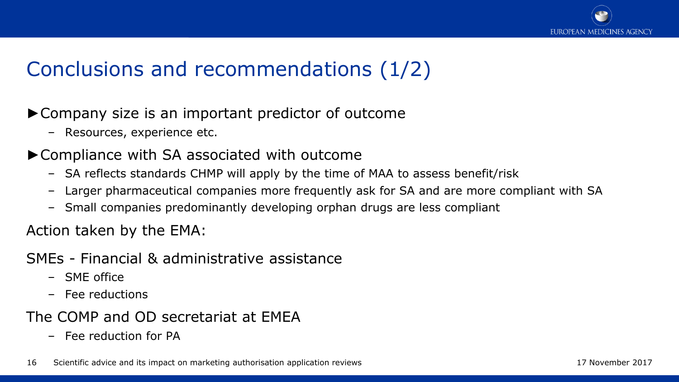

# Conclusions and recommendations (1/2)

- ►Company size is an important predictor of outcome
	- Resources, experience etc.
- ►Compliance with SA associated with outcome
	- SA reflects standards CHMP will apply by the time of MAA to assess benefit/risk
	- Larger pharmaceutical companies more frequently ask for SA and are more compliant with SA
	- Small companies predominantly developing orphan drugs are less compliant

Action taken by the EMA:

- SMEs Financial & administrative assistance
	- SME office
	- Fee reductions

The COMP and OD secretariat at EMEA

– Fee reduction for PA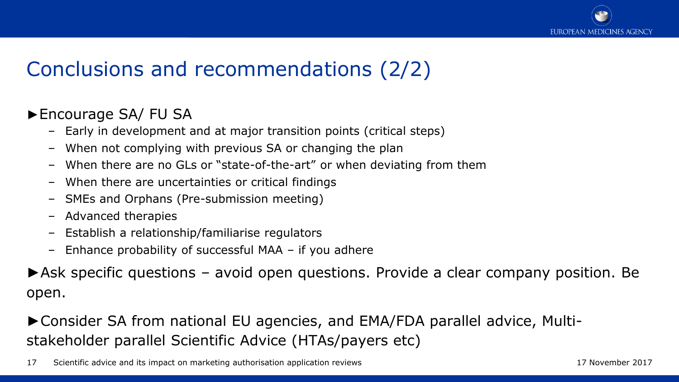

# Conclusions and recommendations (2/2)

#### ►Encourage SA/ FU SA

- Early in development and at major transition points (critical steps)
- When not complying with previous SA or changing the plan
- When there are no GLs or "state-of-the-art" or when deviating from them
- When there are uncertainties or critical findings
- SMEs and Orphans (Pre-submission meeting)
- Advanced therapies
- Establish a relationship/familiarise regulators
- Enhance probability of successful MAA if you adhere

►Ask specific questions – avoid open questions. Provide a clear company position. Be open.

►Consider SA from national EU agencies, and EMA/FDA parallel advice, Multistakeholder parallel Scientific Advice (HTAs/payers etc)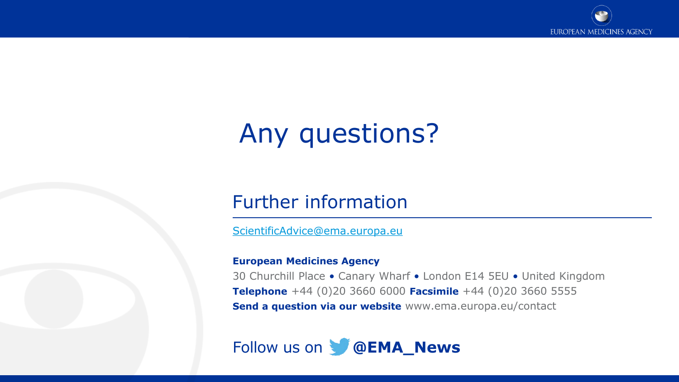

# Any questions?

### Further information

[ScientificAdvice@ema.europa.eu](mailto:ScientificAdvice@ema.europa.eu)

#### **European Medicines Agency**

30 Churchill Place • Canary Wharf • London E14 5EU • United Kingdom **Telephone** +44 (0)20 3660 6000 **Facsimile** +44 (0)20 3660 5555 **Send a question via our website** www.ema.europa.eu/contact

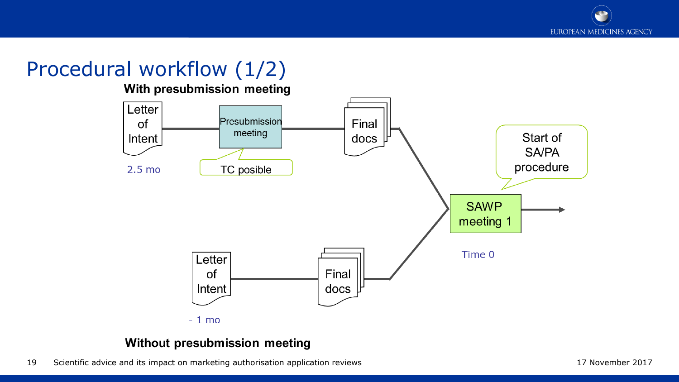# Procedural workflow (1/2)

With presubmission meeting



#### Without presubmission meeting